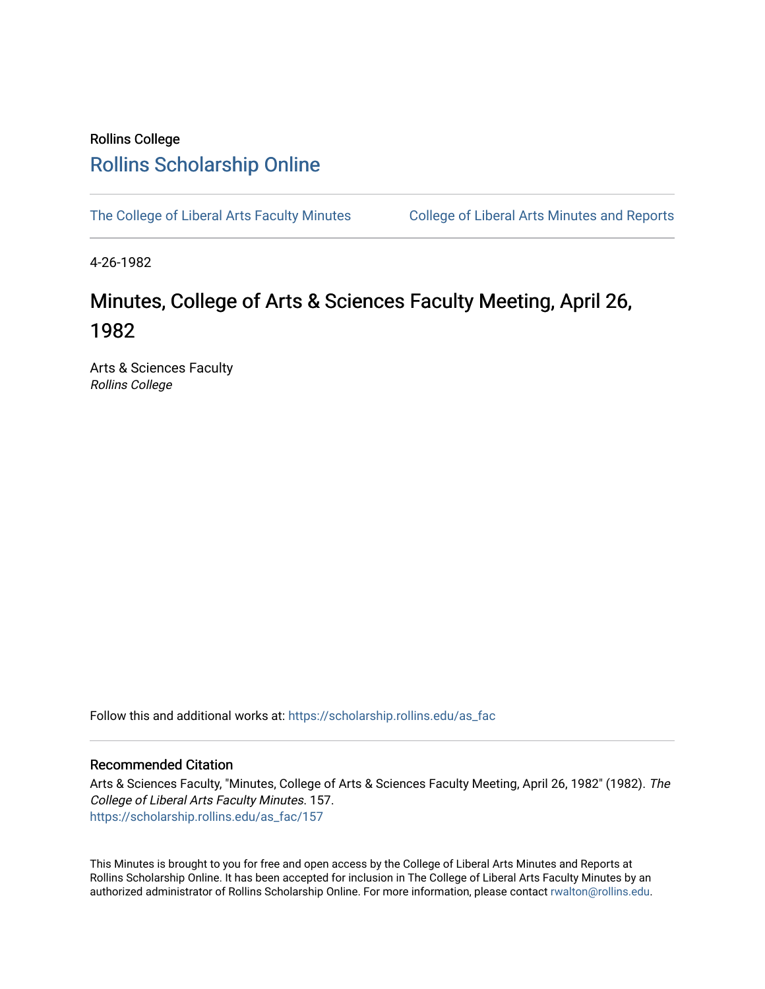## Rollins College [Rollins Scholarship Online](https://scholarship.rollins.edu/)

[The College of Liberal Arts Faculty Minutes](https://scholarship.rollins.edu/as_fac) College of Liberal Arts Minutes and Reports

4-26-1982

# Minutes, College of Arts & Sciences Faculty Meeting, April 26, 1982

Arts & Sciences Faculty Rollins College

Follow this and additional works at: [https://scholarship.rollins.edu/as\\_fac](https://scholarship.rollins.edu/as_fac?utm_source=scholarship.rollins.edu%2Fas_fac%2F157&utm_medium=PDF&utm_campaign=PDFCoverPages) 

#### Recommended Citation

Arts & Sciences Faculty, "Minutes, College of Arts & Sciences Faculty Meeting, April 26, 1982" (1982). The College of Liberal Arts Faculty Minutes. 157. [https://scholarship.rollins.edu/as\\_fac/157](https://scholarship.rollins.edu/as_fac/157?utm_source=scholarship.rollins.edu%2Fas_fac%2F157&utm_medium=PDF&utm_campaign=PDFCoverPages) 

This Minutes is brought to you for free and open access by the College of Liberal Arts Minutes and Reports at Rollins Scholarship Online. It has been accepted for inclusion in The College of Liberal Arts Faculty Minutes by an authorized administrator of Rollins Scholarship Online. For more information, please contact [rwalton@rollins.edu](mailto:rwalton@rollins.edu).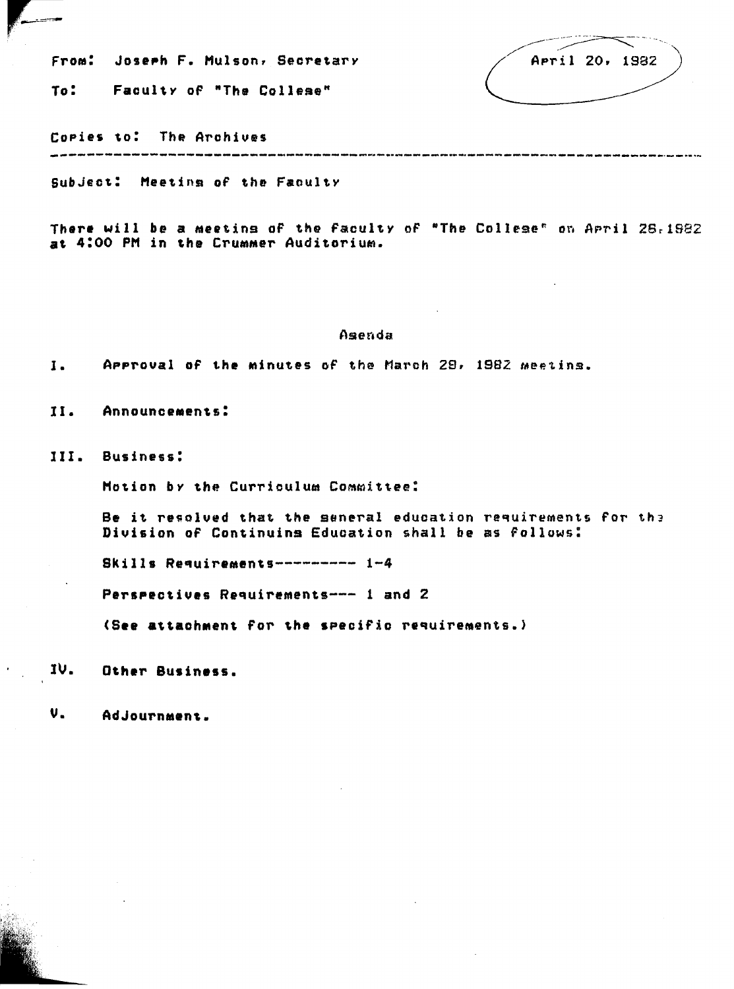FroM: **Joseph** F. Hulson, Secretary

To: Faculty of "The Collese"

April 20, 1982

Copies to: The Archives ------------------------------------------------------------------------

SubJect: Meeting of the Faculty

There will be a meeting of the faculty of "The College<sup>"</sup> on April 28,1982 at 4:00 PM in the Crummer Auditorium.

#### Asenda

**J. APProual oF the Minutes** oF the March 29, 1982 Meetins.

II. **AnnounceMents:** 

lII. **Business:** 

Motion by the Curriculum Committee:

Be it resolved that the seneral education requirements for the Division oF Continuins Education shall be as follows:

Skills Requirements--------- 1-4

**Perspectives** RequireMents--- 1 and 2

**(See attachMent** For the specific requirements.)

IV. **Other Business.** 

V. Adjournment.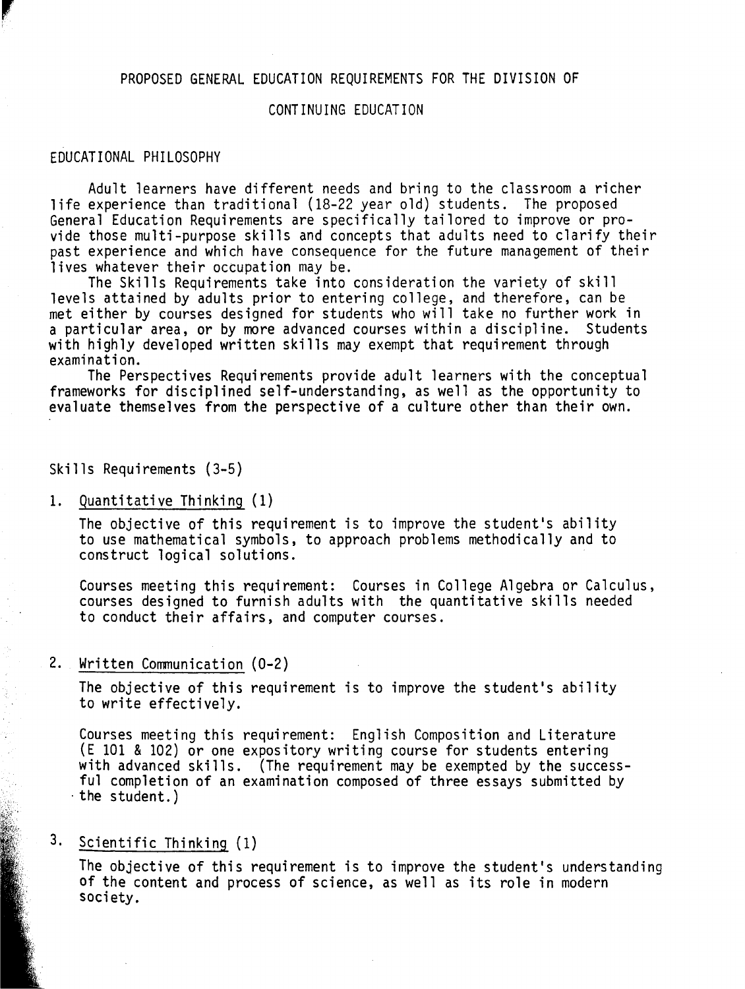#### PROPOSED GENERAL EDUCATION REQUIREMENTS FOR THE DIVISION OF

#### CONTINUING EDUCATION

#### EDUCATIONAL PHILOSOPHY

Adult learners have different needs and bring to the classroom a richer life experience than traditional (18-22 year old) students. The proposed<br>General Education Requirements are specifically tailored to improve or proyide those multi-purpose skills and concepts that adults need to clarify their past experience and which have consequence for the future management of their lives whatever their occupation may be.

The Skills Requirements take into consideration the variety of skill levels attained by adults prior to entering college, and therefore, can be met either by courses designed for students who will take no further work in a particular area, or by more advanced courses within a discipline. Students with highly developed written skills may exempt that requirement through examination.<br>The Perspectives Requirements provide adult learners with the conceptual

frameworks for disciplined self-understanding, as well as the opportunity to evaluate themselves from the perspective of a culture other than their own.

Skills Requirements (3-5)

1. Quantitative Thinking (1)

The objective of this requirement is to improve the student's ability to use mathematical symbols, to approach problems methodically and to construct logical solutions.

Courses meeting this requirement: Courses in College Algebra or Calculus, courses designed to furnish adults with the quantitative skills needed to conduct their affairs, and computer courses.

#### 2. Written Communication (0-2)

The objective of this requirement is to improve the student's ability to write effectively.

Courses meeting this requirement: English Composition and Literature (E 101 & 102) or one expository writing course for students entering with advanced skills. (The requirement may be exempted by the successful completion of an examination composed of three essays submitted by the student.)

### 3. Scientific Thinking (1)

The objective of this requirement is to improve the student's understanding of the content and process of science, as well as its role in modern society.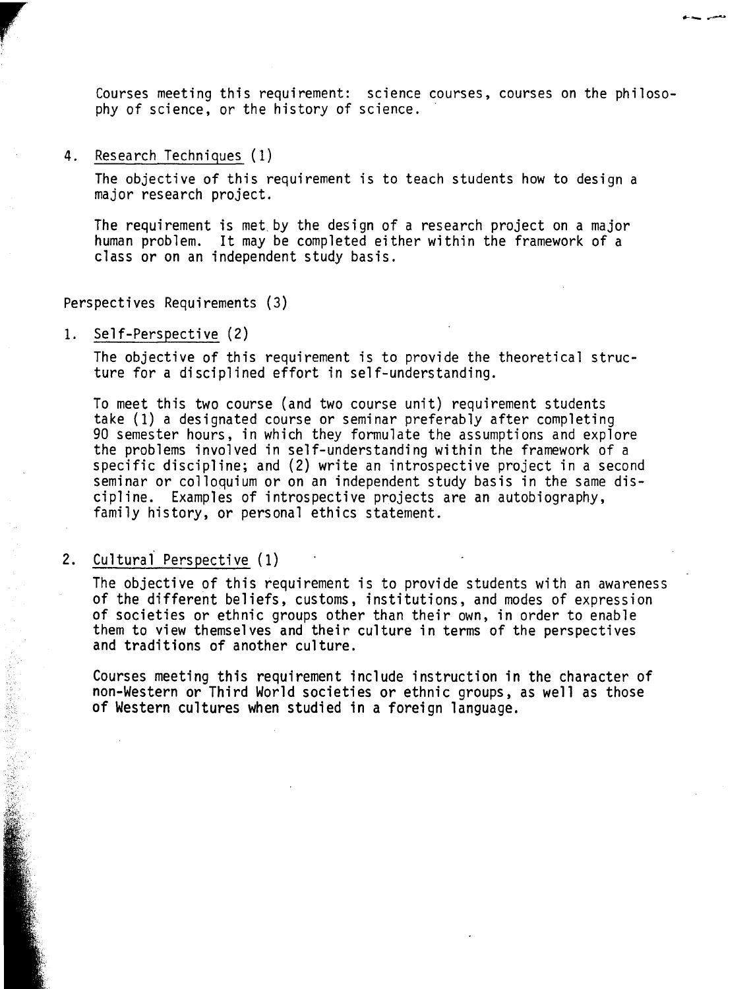Courses meeting this requirement: science courses, courses on the philosophy of science, or the history of science.

---~

4. Research Techniques (1)

re de la companya de la companya de la companya de la companya de la companya de la companya de la companya de la companya de la companya de la companya de la companya de la companya de la companya de la companya de la com

The objective of this requirement is to teach students how to design a major research project.

The requirement is met by the design of a research project on a major human problem. It may be completed either within the framework of a class or on an independent study basis.

Perspectives Requirements (3)

1. Self-Perspective (2)

The objective of this requirement is to provide the theoretical structure for a disciplined effort in self-understanding.

To meet this two course (and two course unit) requirement students 90 semester hours, in which they formulate the assumptions and explore the problems involved in self-understanding within the framework of a specific discipline; and (2) write an introspective project in a second seminar or colloquium or on an independent study basis in the same discipline. Examples of introspective projects are an autobiography, family history, or personal ethics statement.

2. Culturai Perspective (1)

The objective of this requirement is to provide students with an awareness of the different beliefs, customs, institutions, and modes of expression of societies or ethnic groups other than their own, in order to enable them to view themselves and their culture in terms of the perspectives and traditions of another culture.

Courses meeting this requirement include instruction in the character of non-Western or Third World societies or ethnic groups, as well as those of Western cultures when studied in a foreign language.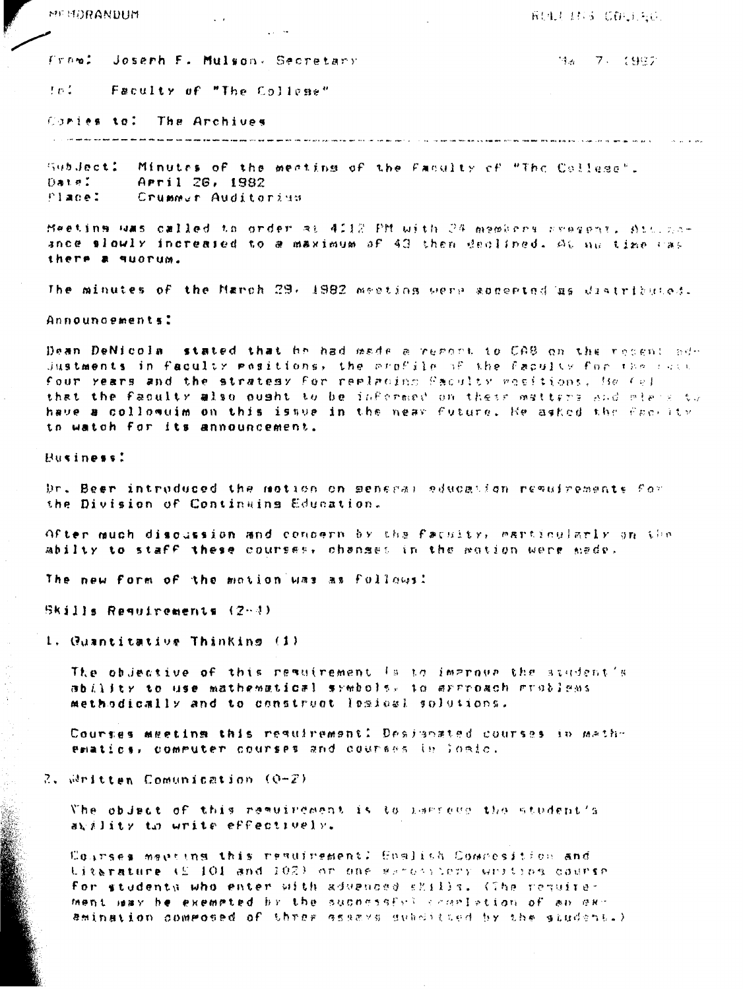MEMORANDUM  $\ddot{\phantom{0}}$  **RULLING COULDE** 

Frem: Joseph F. Mulson, Secretary

198 - 7、 (982)

fol. Faculty of "The College"

Cories to: The Archives

---------------------.<br>او النهود ويتواصله الحد الإنتاجيل بها بعد العرب ولي ولك الأمر الأمر الأمر المتواطن المرار

Subdect: Minutes of the meating of the Faculty of "The College". Date: Arril 26, 1982 Place: Crummer Auditorius

Meeting was called to order at 4112 PM with 24 members reegent. Att. noance slowly increased to a maximum of 43 then declined. At he time cas there a guorum.

The minutes of the March 29, 1982 meeting were soccerted as diatributed.

Announcements:

Dean DeNicola stated that he had made a regent to CAB on the recent add Justments in faculty mesitions, the profile of the faculty for the race four years and the stratesy for replacing Saculty weeltions. He (e) that the faculty also quaht to be informed on their matters and might to have a collomuim on this issue in the near future. He asked the faceity to watch for its announcement.

Business!

Dr. Been introduced the motion on seneral aducation resultements for the Division of Continuing Education.

Ofter much discussion and concern by the facuity, earticularly on the abilty to staff these courses, chanses in the wotion were made.

The new form of the mation was as follows:

 $B$ Kills Requirements (2-4)

1. Quantitative Thinking (1)

The objective of this remulrement is to improve the student's ability to use mathematical symbols, to arrroach groblems. methodically and to construct lesies! solutions.

Courses meeting this resulrement! Designated courses in mathematics, commuter courses and courses in loaic.

 $2$ ,  $\omega$ ritten Comunication (0-2)

The objact of this remuirement is to harroup the student's auxility to unite effectively.

Courses menting this resultement: Comitsh Composition and titarature (£ 101 and 102) or one waresytemy unition counse for studenta who enter with advenose shills. (The requirement way he exemeted by the supnessfyll cropletion of an examination commosed of three ssaavs subditted by the student.)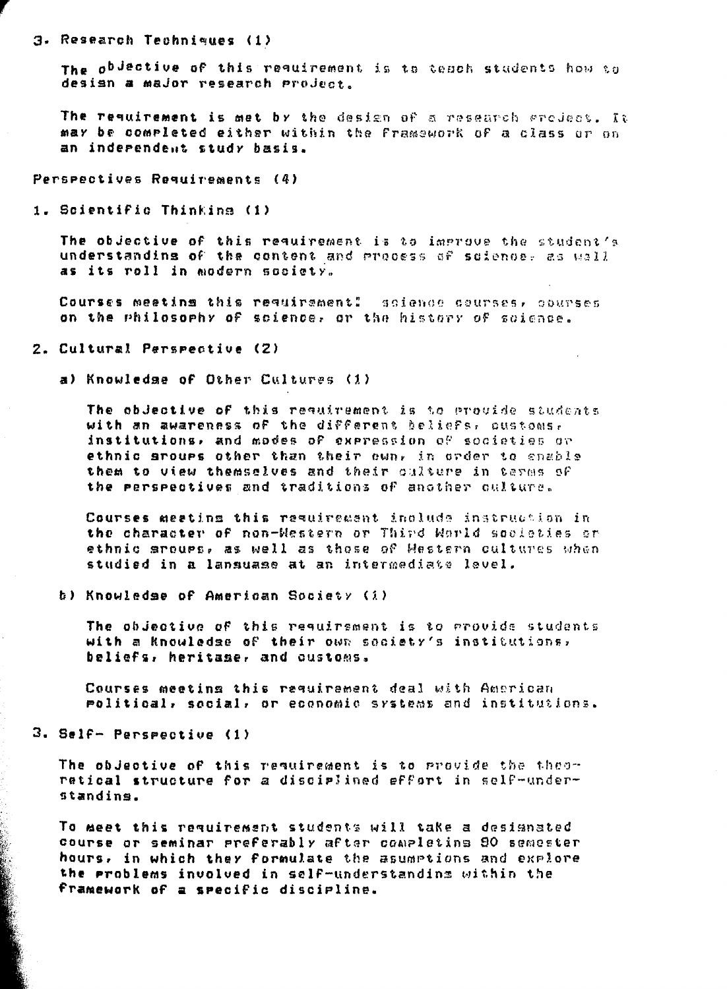#### 3. Research Techniques (1)

The o<sup>bdective of</sup> this reguirement is to tesch students how to desian a major research project.

The reguirement is met by the design of a research gradeat. It may be completed either within the Framework of a class or on an inderendent study basis.

Perspectives Requirements (4)

1. Scientific Thinkins (1)

The objective of this requirement is to improve the student's understanding of the content and process of science, as wall as its roll in modern society.

Courses meating this requirement! solence courses, courses on the philosophy of science, or the history of science.

#### 2. Cultural Perspective (2)

a) Knowledge of Other Cultures (1)

The obdective of this requirement is to provide students with an awareness of the different beliefs, pustoms, institutions, and modes of expression of societies or ethnic sroups other than their own, in order to enable them to view themselves and their culture in terms of the perspectives and traditions of another culture.

Courses meating this reguirement include instruction in the character of non-Western or Third World societies or ethnic srougs, as well as those of Western cultures when studied in a lanauase at an intermediate level.

b) Knowledse of American Society (1)

The objective of this reguirement is to provide students with a knowledge of their own society's institutions, beliefs, heritase, and customs.

Courses meeting this requirement deal with American molitical, social, or economic systems and institutions.

3. Self- Perspective (1)

The objective of this requirement is to provide the theoretical structure for a disciplined effort in self-understandins.

To meet this reguirement students will take a designated course or seminar preferably after completing 80 semester hours, in which they formulate the asumptions and explore the problems involved in self-understanding within the framework of a specific discipline.